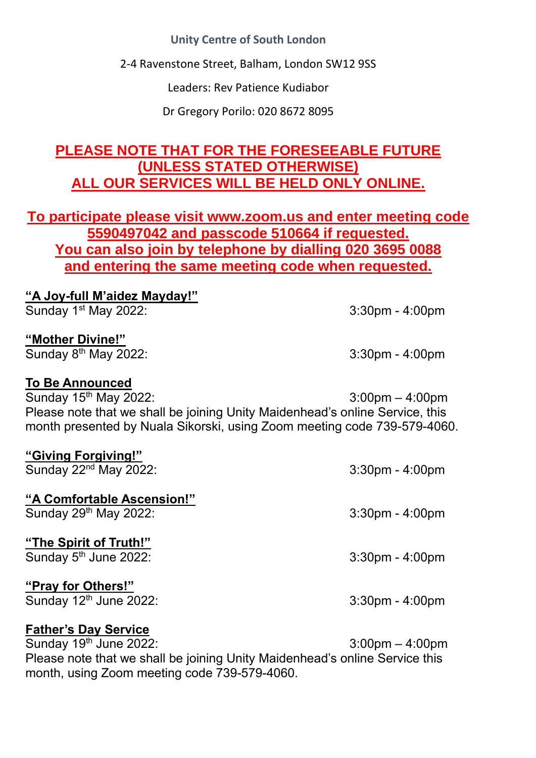### **Unity Centre of South London**

2-4 Ravenstone Street, Balham, London SW12 9SS

Leaders: Rev Patience Kudiabor

Dr Gregory Porilo: 020 8672 8095

# **PLEASE NOTE THAT FOR THE FORESEEABLE FUTURE (UNLESS STATED OTHERWISE) ALL OUR SERVICES WILL BE HELD ONLY ONLINE.**

**To participate please visit www.zoom.us and enter meeting code 5590497042 and passcode 510664 if requested. You can also join by telephone by dialling 020 3695 0088 and entering the same meeting code when requested.**

| "A Joy-full M'aidez Mayday!"<br>Sunday 1 <sup>st</sup> May 2022:                                                                                                                                                                                             | $3:30$ pm - $4:00$ pm |
|--------------------------------------------------------------------------------------------------------------------------------------------------------------------------------------------------------------------------------------------------------------|-----------------------|
| "Mother Divine!"<br>Sunday $8th$ May 2022:                                                                                                                                                                                                                   | $3:30$ pm - $4:00$ pm |
| <b>To Be Announced</b><br>Sunday 15 <sup>th</sup> May 2022:<br>$3:00 \text{pm} - 4:00 \text{pm}$<br>Please note that we shall be joining Unity Maidenhead's online Service, this<br>month presented by Nuala Sikorski, using Zoom meeting code 739-579-4060. |                       |
| "Giving Forgiving!"<br>Sunday $22nd$ May 2022:                                                                                                                                                                                                               | $3:30$ pm - $4:00$ pm |
| "A Comfortable Ascension!"<br>Sunday $29th$ May 2022:                                                                                                                                                                                                        | $3:30$ pm - $4:00$ pm |
| "The Spirit of Truth!"<br>Sunday 5 <sup>th</sup> June 2022:                                                                                                                                                                                                  | $3:30$ pm - $4:00$ pm |
| "Pray for Others!"<br>Sunday 12th June 2022:                                                                                                                                                                                                                 | $3:30$ pm - $4:00$ pm |
| <b>Father's Day Service</b>                                                                                                                                                                                                                                  |                       |

Sunday 19th June 2022: 3:00pm – 4:00pm Please note that we shall be joining Unity Maidenhead's online Service this month, using Zoom meeting code 739-579-4060.